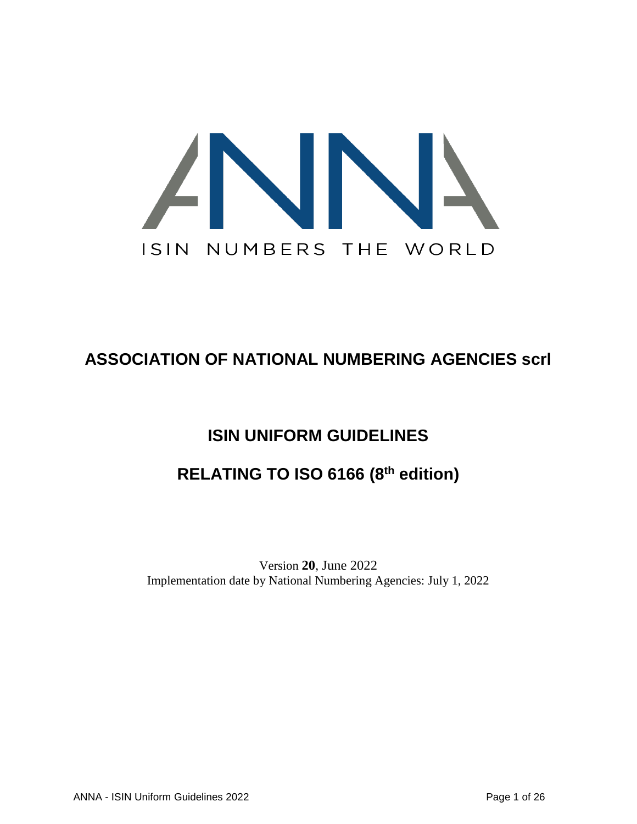

# **ASSOCIATION OF NATIONAL NUMBERING AGENCIES scrl**

# **ISIN UNIFORM GUIDELINES**

# **RELATING TO ISO 6166 (8 th edition)**

Version **20**, June 2022 Implementation date by National Numbering Agencies: July 1, 2022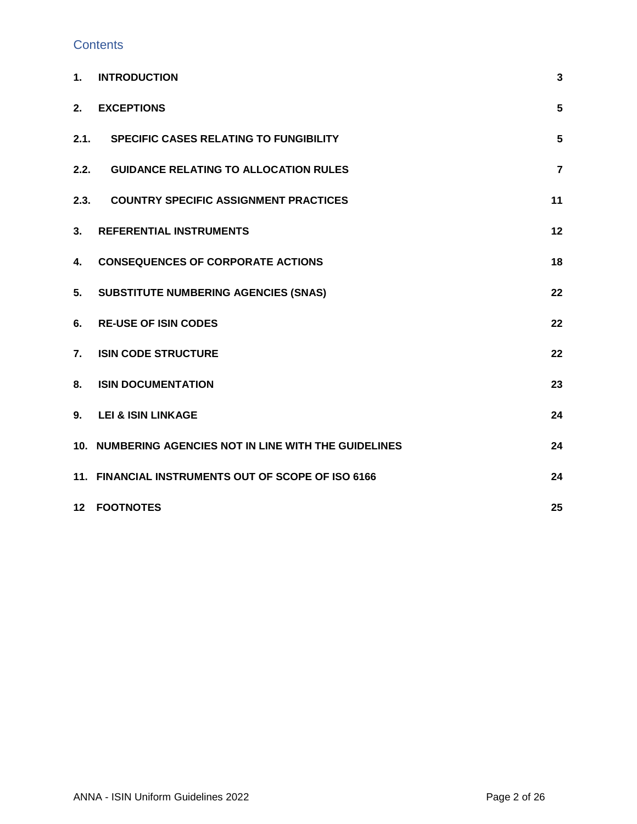### **Contents**

| 1.             | <b>INTRODUCTION</b>                                    | $\mathbf{3}$   |
|----------------|--------------------------------------------------------|----------------|
| 2.             | <b>EXCEPTIONS</b>                                      | 5              |
| 2.1.           | <b>SPECIFIC CASES RELATING TO FUNGIBILITY</b>          | 5              |
| 2.2.           | <b>GUIDANCE RELATING TO ALLOCATION RULES</b>           | $\overline{7}$ |
| 2.3.           | <b>COUNTRY SPECIFIC ASSIGNMENT PRACTICES</b>           | 11             |
| 3.             | <b>REFERENTIAL INSTRUMENTS</b>                         | 12             |
| 4.             | <b>CONSEQUENCES OF CORPORATE ACTIONS</b>               | 18             |
| 5.             | <b>SUBSTITUTE NUMBERING AGENCIES (SNAS)</b>            | 22             |
| 6.             | <b>RE-USE OF ISIN CODES</b>                            | 22             |
| $\mathbf{7}$ . | <b>ISIN CODE STRUCTURE</b>                             | 22             |
| 8.             | <b>ISIN DOCUMENTATION</b>                              | 23             |
| 9.             | <b>LEI &amp; ISIN LINKAGE</b>                          | 24             |
|                | 10. NUMBERING AGENCIES NOT IN LINE WITH THE GUIDELINES | 24             |
|                | 11. FINANCIAL INSTRUMENTS OUT OF SCOPE OF ISO 6166     | 24             |
|                | <b>12 FOOTNOTES</b>                                    | 25             |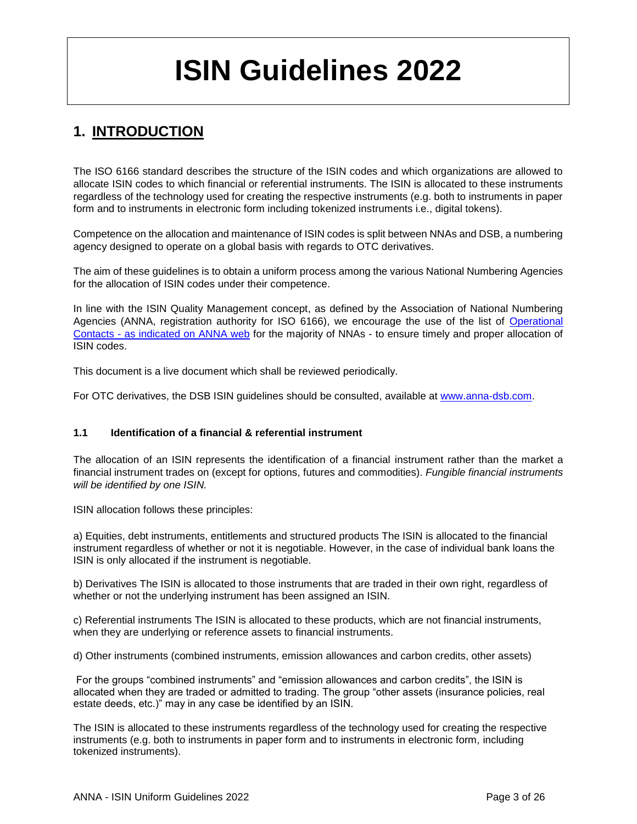# **ISIN Guidelines 2022**

### <span id="page-2-0"></span>**1. INTRODUCTION**

The ISO 6166 standard describes the structure of the ISIN codes and which organizations are allowed to allocate ISIN codes to which financial or referential instruments. The ISIN is allocated to these instruments regardless of the technology used for creating the respective instruments (e.g. both to instruments in paper form and to instruments in electronic form including tokenized instruments i.e., digital tokens).

Competence on the allocation and maintenance of ISIN codes is split between NNAs and DSB, a numbering agency designed to operate on a global basis with regards to OTC derivatives.

The aim of these guidelines is to obtain a uniform process among the various National Numbering Agencies for the allocation of ISIN codes under their competence.

In line with the ISIN Quality Management concept, as defined by the Association of National Numbering Agencies (ANNA, registration authority for ISO 6166), we encourage the use of the list of Operational Contacts - [as indicated on ANNA web](https://www.anna-web.org/members-db/) for the majority of NNAs - to ensure timely and proper allocation of ISIN codes.

This document is a live document which shall be reviewed periodically.

For OTC derivatives, the DSB ISIN guidelines should be consulted, available at [www.anna-dsb.com.](https://www.anna-dsb.com/download/dsb-isin-guidelines/)

### **1.1 Identification of a financial & referential instrument**

The allocation of an ISIN represents the identification of a financial instrument rather than the market a financial instrument trades on (except for options, futures and commodities). *Fungible financial instruments will be identified by one ISIN.*

ISIN allocation follows these principles:

a) Equities, debt instruments, entitlements and structured products The ISIN is allocated to the financial instrument regardless of whether or not it is negotiable. However, in the case of individual bank loans the ISIN is only allocated if the instrument is negotiable.

b) Derivatives The ISIN is allocated to those instruments that are traded in their own right, regardless of whether or not the underlying instrument has been assigned an ISIN.

c) Referential instruments The ISIN is allocated to these products, which are not financial instruments, when they are underlying or reference assets to financial instruments.

d) Other instruments (combined instruments, emission allowances and carbon credits, other assets)

For the groups "combined instruments" and "emission allowances and carbon credits", the ISIN is allocated when they are traded or admitted to trading. The group "other assets (insurance policies, real estate deeds, etc.)" may in any case be identified by an ISIN.

The ISIN is allocated to these instruments regardless of the technology used for creating the respective instruments (e.g. both to instruments in paper form and to instruments in electronic form, including tokenized instruments).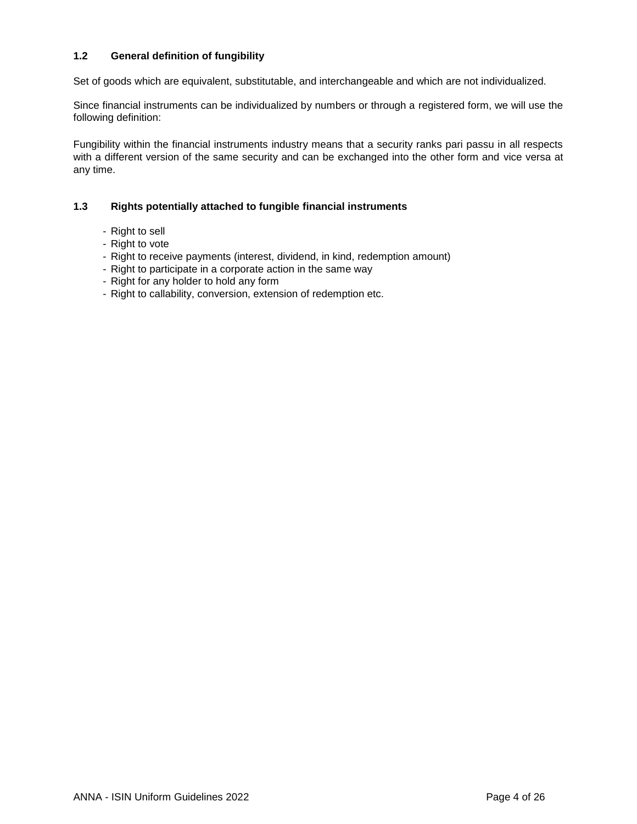### **1.2 General definition of fungibility**

Set of goods which are equivalent, substitutable, and interchangeable and which are not individualized.

Since financial instruments can be individualized by numbers or through a registered form, we will use the following definition:

Fungibility within the financial instruments industry means that a security ranks pari passu in all respects with a different version of the same security and can be exchanged into the other form and vice versa at any time.

### **1.3 Rights potentially attached to fungible financial instruments**

- Right to sell
- Right to vote
- Right to receive payments (interest, dividend, in kind, redemption amount)
- Right to participate in a corporate action in the same way
- Right for any holder to hold any form
- Right to callability, conversion, extension of redemption etc.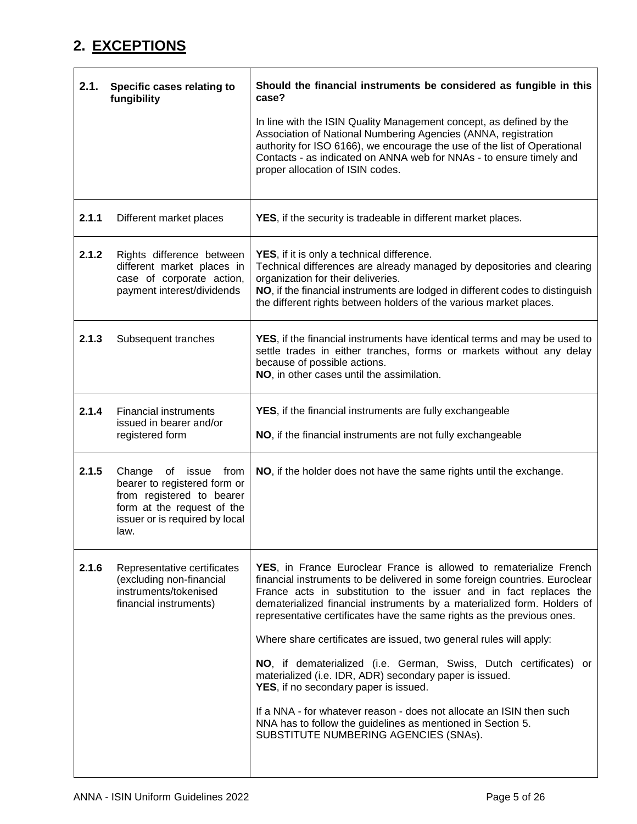# <span id="page-4-0"></span>**2. EXCEPTIONS**

<span id="page-4-1"></span>

| 2.1.  | Specific cases relating to<br>fungibility                                                                                                                 | Should the financial instruments be considered as fungible in this<br>case?<br>In line with the ISIN Quality Management concept, as defined by the<br>Association of National Numbering Agencies (ANNA, registration<br>authority for ISO 6166), we encourage the use of the list of Operational<br>Contacts - as indicated on ANNA web for NNAs - to ensure timely and<br>proper allocation of ISIN codes.                                                                                                                                                                                                                                                                                                                                                                                                |
|-------|-----------------------------------------------------------------------------------------------------------------------------------------------------------|------------------------------------------------------------------------------------------------------------------------------------------------------------------------------------------------------------------------------------------------------------------------------------------------------------------------------------------------------------------------------------------------------------------------------------------------------------------------------------------------------------------------------------------------------------------------------------------------------------------------------------------------------------------------------------------------------------------------------------------------------------------------------------------------------------|
| 2.1.1 | Different market places                                                                                                                                   | YES, if the security is tradeable in different market places.                                                                                                                                                                                                                                                                                                                                                                                                                                                                                                                                                                                                                                                                                                                                              |
| 2.1.2 | Rights difference between<br>different market places in<br>case of corporate action,<br>payment interest/dividends                                        | <b>YES</b> , if it is only a technical difference.<br>Technical differences are already managed by depositories and clearing<br>organization for their deliveries.<br>NO, if the financial instruments are lodged in different codes to distinguish<br>the different rights between holders of the various market places.                                                                                                                                                                                                                                                                                                                                                                                                                                                                                  |
| 2.1.3 | Subsequent tranches                                                                                                                                       | YES, if the financial instruments have identical terms and may be used to<br>settle trades in either tranches, forms or markets without any delay<br>because of possible actions.<br>NO, in other cases until the assimilation.                                                                                                                                                                                                                                                                                                                                                                                                                                                                                                                                                                            |
| 2.1.4 | <b>Financial instruments</b><br>issued in bearer and/or<br>registered form                                                                                | YES, if the financial instruments are fully exchangeable<br>NO, if the financial instruments are not fully exchangeable                                                                                                                                                                                                                                                                                                                                                                                                                                                                                                                                                                                                                                                                                    |
| 2.1.5 | Change of issue from<br>bearer to registered form or<br>from registered to bearer<br>form at the request of the<br>issuer or is required by local<br>law. | NO, if the holder does not have the same rights until the exchange.                                                                                                                                                                                                                                                                                                                                                                                                                                                                                                                                                                                                                                                                                                                                        |
| 2.1.6 | Representative certificates<br>(excluding non-financial<br>instruments/tokenised<br>financial instruments)                                                | YES, in France Euroclear France is allowed to rematerialize French<br>financial instruments to be delivered in some foreign countries. Euroclear<br>France acts in substitution to the issuer and in fact replaces the<br>dematerialized financial instruments by a materialized form. Holders of<br>representative certificates have the same rights as the previous ones.<br>Where share certificates are issued, two general rules will apply:<br>NO, if dematerialized (i.e. German, Swiss, Dutch certificates) or<br>materialized (i.e. IDR, ADR) secondary paper is issued.<br>YES, if no secondary paper is issued.<br>If a NNA - for whatever reason - does not allocate an ISIN then such<br>NNA has to follow the guidelines as mentioned in Section 5.<br>SUBSTITUTE NUMBERING AGENCIES (SNAs). |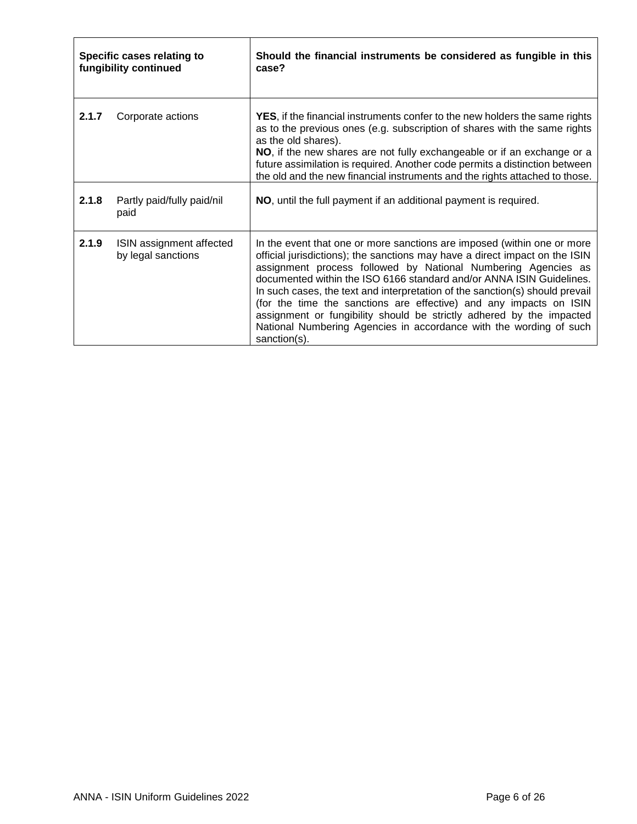| Specific cases relating to<br>fungibility continued |                                                | Should the financial instruments be considered as fungible in this<br>case?                                                                                                                                                                                                                                                                                                                                                                                                                                                                                                                                         |
|-----------------------------------------------------|------------------------------------------------|---------------------------------------------------------------------------------------------------------------------------------------------------------------------------------------------------------------------------------------------------------------------------------------------------------------------------------------------------------------------------------------------------------------------------------------------------------------------------------------------------------------------------------------------------------------------------------------------------------------------|
| 2.1.7                                               | Corporate actions                              | <b>YES</b> , if the financial instruments confer to the new holders the same rights<br>as to the previous ones (e.g. subscription of shares with the same rights<br>as the old shares).<br>NO, if the new shares are not fully exchangeable or if an exchange or a<br>future assimilation is required. Another code permits a distinction between<br>the old and the new financial instruments and the rights attached to those.                                                                                                                                                                                    |
| 2.1.8                                               | Partly paid/fully paid/nil<br>paid             | NO, until the full payment if an additional payment is required.                                                                                                                                                                                                                                                                                                                                                                                                                                                                                                                                                    |
| 2.1.9                                               | ISIN assignment affected<br>by legal sanctions | In the event that one or more sanctions are imposed (within one or more<br>official jurisdictions); the sanctions may have a direct impact on the ISIN<br>assignment process followed by National Numbering Agencies as<br>documented within the ISO 6166 standard and/or ANNA ISIN Guidelines.<br>In such cases, the text and interpretation of the sanction(s) should prevail<br>(for the time the sanctions are effective) and any impacts on ISIN<br>assignment or fungibility should be strictly adhered by the impacted<br>National Numbering Agencies in accordance with the wording of such<br>sanction(s). |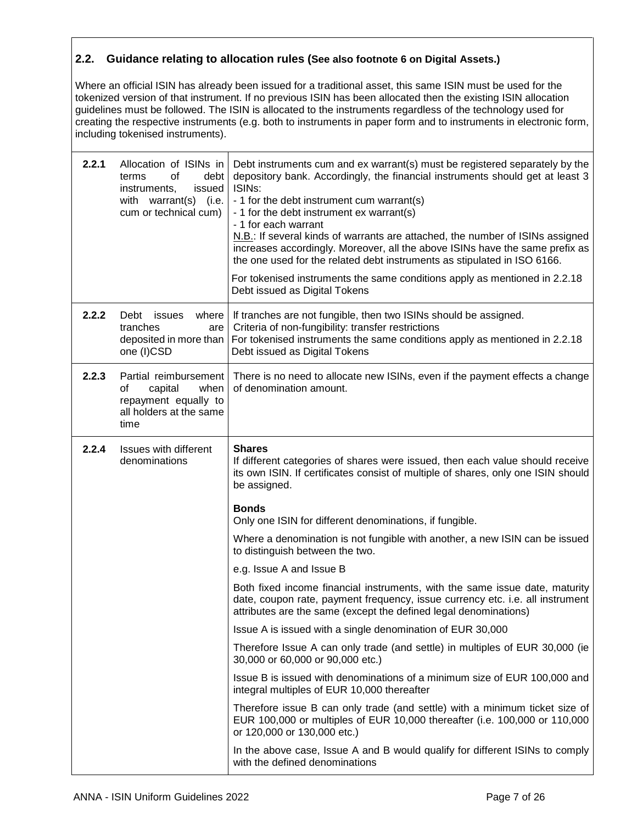### <span id="page-6-0"></span>**2.2. Guidance relating to allocation rules (See also footnote 6 on Digital Assets.)**

Where an official ISIN has already been issued for a traditional asset, this same ISIN must be used for the tokenized version of that instrument. If no previous ISIN has been allocated then the existing ISIN allocation guidelines must be followed. The ISIN is allocated to the instruments regardless of the technology used for creating the respective instruments (e.g. both to instruments in paper form and to instruments in electronic form, including tokenised instruments).

| 2.2.1 | Allocation of ISINs in<br>0f<br>debt<br>terms<br>instruments,<br>issued<br>with warrant(s)<br>(i.e.<br>cum or technical cum) | Debt instruments cum and ex warrant(s) must be registered separately by the<br>depository bank. Accordingly, the financial instruments should get at least 3<br>ISIN <sub>s:</sub><br>- 1 for the debt instrument cum warrant(s)<br>- 1 for the debt instrument ex warrant(s)<br>- 1 for each warrant<br>N.B.: If several kinds of warrants are attached, the number of ISINs assigned<br>increases accordingly. Moreover, all the above ISINs have the same prefix as<br>the one used for the related debt instruments as stipulated in ISO 6166.<br>For tokenised instruments the same conditions apply as mentioned in 2.2.18<br>Debt issued as Digital Tokens |
|-------|------------------------------------------------------------------------------------------------------------------------------|-------------------------------------------------------------------------------------------------------------------------------------------------------------------------------------------------------------------------------------------------------------------------------------------------------------------------------------------------------------------------------------------------------------------------------------------------------------------------------------------------------------------------------------------------------------------------------------------------------------------------------------------------------------------|
| 2.2.2 | Debt<br>where<br>issues<br>tranches<br>are<br>deposited in more than<br>one (I)CSD                                           | If tranches are not fungible, then two ISINs should be assigned.<br>Criteria of non-fungibility: transfer restrictions<br>For tokenised instruments the same conditions apply as mentioned in 2.2.18<br>Debt issued as Digital Tokens                                                                                                                                                                                                                                                                                                                                                                                                                             |
| 2.2.3 | Partial reimbursement<br>of<br>capital<br>when<br>repayment equally to<br>all holders at the same<br>time                    | There is no need to allocate new ISINs, even if the payment effects a change<br>of denomination amount.                                                                                                                                                                                                                                                                                                                                                                                                                                                                                                                                                           |
| 2.2.4 | Issues with different<br>denominations                                                                                       | <b>Shares</b><br>If different categories of shares were issued, then each value should receive<br>its own ISIN. If certificates consist of multiple of shares, only one ISIN should<br>be assigned.                                                                                                                                                                                                                                                                                                                                                                                                                                                               |
|       |                                                                                                                              | <b>Bonds</b><br>Only one ISIN for different denominations, if fungible.                                                                                                                                                                                                                                                                                                                                                                                                                                                                                                                                                                                           |
|       |                                                                                                                              | Where a denomination is not fungible with another, a new ISIN can be issued<br>to distinguish between the two.                                                                                                                                                                                                                                                                                                                                                                                                                                                                                                                                                    |
|       |                                                                                                                              | e.g. Issue A and Issue B                                                                                                                                                                                                                                                                                                                                                                                                                                                                                                                                                                                                                                          |
|       |                                                                                                                              | Both fixed income financial instruments, with the same issue date, maturity<br>date, coupon rate, payment frequency, issue currency etc. i.e. all instrument<br>attributes are the same (except the defined legal denominations)                                                                                                                                                                                                                                                                                                                                                                                                                                  |
|       |                                                                                                                              | Issue A is issued with a single denomination of EUR 30,000                                                                                                                                                                                                                                                                                                                                                                                                                                                                                                                                                                                                        |
|       |                                                                                                                              | Therefore Issue A can only trade (and settle) in multiples of EUR 30,000 (ie<br>30,000 or 60,000 or 90,000 etc.)                                                                                                                                                                                                                                                                                                                                                                                                                                                                                                                                                  |
|       |                                                                                                                              | Issue B is issued with denominations of a minimum size of EUR 100,000 and<br>integral multiples of EUR 10,000 thereafter                                                                                                                                                                                                                                                                                                                                                                                                                                                                                                                                          |
|       |                                                                                                                              | Therefore issue B can only trade (and settle) with a minimum ticket size of<br>EUR 100,000 or multiples of EUR 10,000 thereafter (i.e. 100,000 or 110,000<br>or 120,000 or 130,000 etc.)                                                                                                                                                                                                                                                                                                                                                                                                                                                                          |
|       |                                                                                                                              | In the above case, Issue A and B would qualify for different ISINs to comply<br>with the defined denominations                                                                                                                                                                                                                                                                                                                                                                                                                                                                                                                                                    |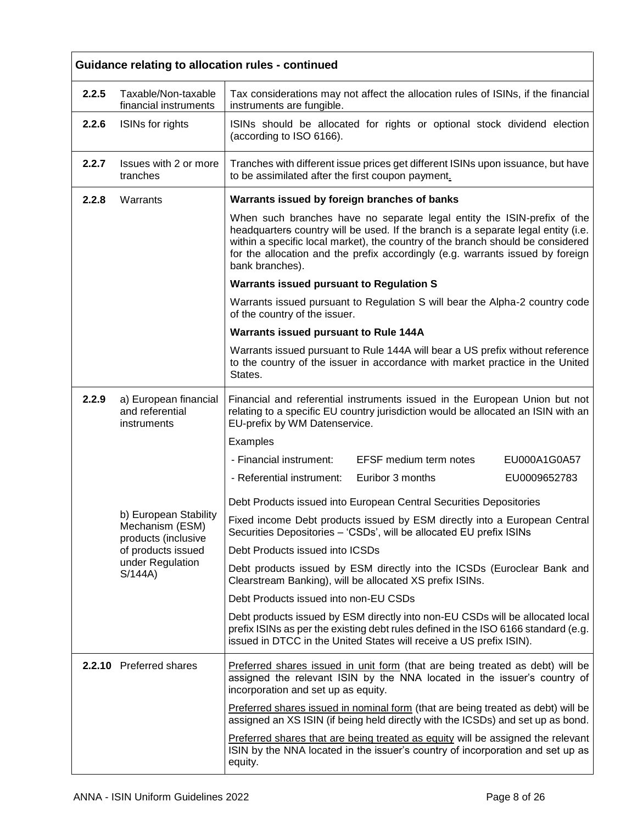|       | Guidance relating to allocation rules - continued                                                                    |                                                                                                                                                                                                                                                                                                                                                      |  |  |
|-------|----------------------------------------------------------------------------------------------------------------------|------------------------------------------------------------------------------------------------------------------------------------------------------------------------------------------------------------------------------------------------------------------------------------------------------------------------------------------------------|--|--|
| 2.2.5 | Taxable/Non-taxable<br>financial instruments                                                                         | Tax considerations may not affect the allocation rules of ISINs, if the financial<br>instruments are fungible.                                                                                                                                                                                                                                       |  |  |
| 2.2.6 | ISINs for rights                                                                                                     | ISINs should be allocated for rights or optional stock dividend election<br>(according to ISO 6166).                                                                                                                                                                                                                                                 |  |  |
| 2.2.7 | Issues with 2 or more<br>tranches                                                                                    | Tranches with different issue prices get different ISINs upon issuance, but have<br>to be assimilated after the first coupon payment.                                                                                                                                                                                                                |  |  |
| 2.2.8 | Warrants                                                                                                             | Warrants issued by foreign branches of banks                                                                                                                                                                                                                                                                                                         |  |  |
|       |                                                                                                                      | When such branches have no separate legal entity the ISIN-prefix of the<br>headquarters country will be used. If the branch is a separate legal entity (i.e.<br>within a specific local market), the country of the branch should be considered<br>for the allocation and the prefix accordingly (e.g. warrants issued by foreign<br>bank branches). |  |  |
|       |                                                                                                                      | <b>Warrants issued pursuant to Regulation S</b>                                                                                                                                                                                                                                                                                                      |  |  |
|       |                                                                                                                      | Warrants issued pursuant to Regulation S will bear the Alpha-2 country code<br>of the country of the issuer.                                                                                                                                                                                                                                         |  |  |
|       |                                                                                                                      | Warrants issued pursuant to Rule 144A                                                                                                                                                                                                                                                                                                                |  |  |
|       |                                                                                                                      | Warrants issued pursuant to Rule 144A will bear a US prefix without reference<br>to the country of the issuer in accordance with market practice in the United<br>States.                                                                                                                                                                            |  |  |
| 2.2.9 | a) European financial<br>and referential<br>instruments                                                              | Financial and referential instruments issued in the European Union but not<br>relating to a specific EU country jurisdiction would be allocated an ISIN with an<br>EU-prefix by WM Datenservice.                                                                                                                                                     |  |  |
|       |                                                                                                                      | Examples                                                                                                                                                                                                                                                                                                                                             |  |  |
|       |                                                                                                                      | - Financial instrument:<br><b>EFSF</b> medium term notes<br>EU000A1G0A57                                                                                                                                                                                                                                                                             |  |  |
|       |                                                                                                                      | - Referential instrument:<br>Euribor 3 months<br>EU0009652783                                                                                                                                                                                                                                                                                        |  |  |
|       | b) European Stability<br>Mechanism (ESM)<br>products (inclusive<br>of products issued<br>under Regulation<br>S/144A) | Debt Products issued into European Central Securities Depositories                                                                                                                                                                                                                                                                                   |  |  |
|       |                                                                                                                      | Fixed income Debt products issued by ESM directly into a European Central<br>Securities Depositories - 'CSDs', will be allocated EU prefix ISINs                                                                                                                                                                                                     |  |  |
|       |                                                                                                                      | Debt Products issued into ICSDs                                                                                                                                                                                                                                                                                                                      |  |  |
|       |                                                                                                                      | Debt products issued by ESM directly into the ICSDs (Euroclear Bank and<br>Clearstream Banking), will be allocated XS prefix ISINs.                                                                                                                                                                                                                  |  |  |
|       |                                                                                                                      | Debt Products issued into non-EU CSDs                                                                                                                                                                                                                                                                                                                |  |  |
|       |                                                                                                                      | Debt products issued by ESM directly into non-EU CSDs will be allocated local<br>prefix ISINs as per the existing debt rules defined in the ISO 6166 standard (e.g.<br>issued in DTCC in the United States will receive a US prefix ISIN).                                                                                                           |  |  |
|       | 2.2.10 Preferred shares                                                                                              | Preferred shares issued in unit form (that are being treated as debt) will be<br>assigned the relevant ISIN by the NNA located in the issuer's country of<br>incorporation and set up as equity.                                                                                                                                                     |  |  |
|       |                                                                                                                      | Preferred shares issued in nominal form (that are being treated as debt) will be<br>assigned an XS ISIN (if being held directly with the ICSDs) and set up as bond.                                                                                                                                                                                  |  |  |
|       |                                                                                                                      | Preferred shares that are being treated as equity will be assigned the relevant<br>ISIN by the NNA located in the issuer's country of incorporation and set up as<br>equity.                                                                                                                                                                         |  |  |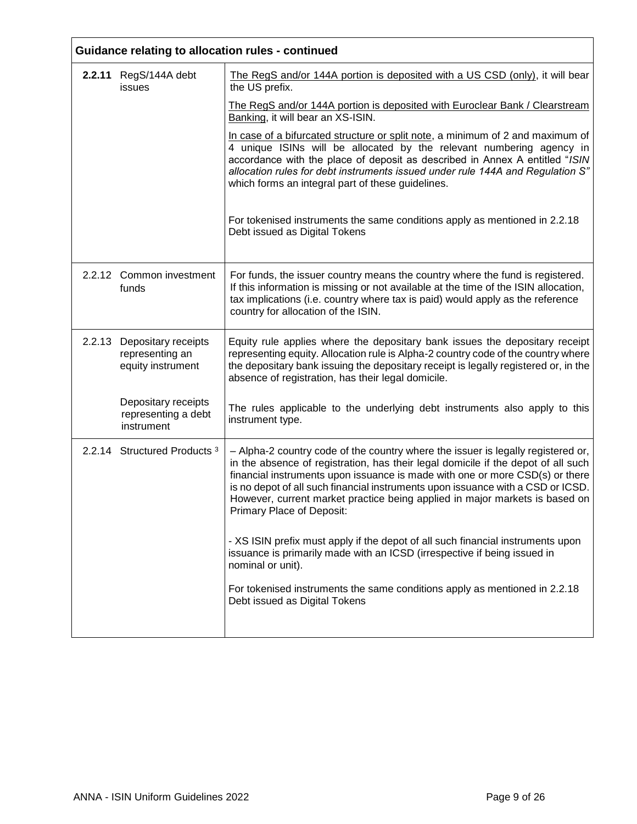| Guidance relating to allocation rules - continued                  |                                                                                                                                                                                                                                                                                                                                                                                                                                                      |  |
|--------------------------------------------------------------------|------------------------------------------------------------------------------------------------------------------------------------------------------------------------------------------------------------------------------------------------------------------------------------------------------------------------------------------------------------------------------------------------------------------------------------------------------|--|
| 2.2.11 RegS/144A debt<br>issues                                    | The RegS and/or 144A portion is deposited with a US CSD (only), it will bear<br>the US prefix.                                                                                                                                                                                                                                                                                                                                                       |  |
|                                                                    | The RegS and/or 144A portion is deposited with Euroclear Bank / Clearstream<br>Banking, it will bear an XS-ISIN.                                                                                                                                                                                                                                                                                                                                     |  |
|                                                                    | In case of a bifurcated structure or split note, a minimum of 2 and maximum of<br>4 unique ISINs will be allocated by the relevant numbering agency in<br>accordance with the place of deposit as described in Annex A entitled "ISIN<br>allocation rules for debt instruments issued under rule 144A and Regulation S"<br>which forms an integral part of these guidelines.                                                                         |  |
|                                                                    | For tokenised instruments the same conditions apply as mentioned in 2.2.18<br>Debt issued as Digital Tokens                                                                                                                                                                                                                                                                                                                                          |  |
| 2.2.12 Common investment<br>funds                                  | For funds, the issuer country means the country where the fund is registered.<br>If this information is missing or not available at the time of the ISIN allocation,<br>tax implications (i.e. country where tax is paid) would apply as the reference<br>country for allocation of the ISIN.                                                                                                                                                        |  |
| 2.2.13 Depositary receipts<br>representing an<br>equity instrument | Equity rule applies where the depositary bank issues the depositary receipt<br>representing equity. Allocation rule is Alpha-2 country code of the country where<br>the depositary bank issuing the depositary receipt is legally registered or, in the<br>absence of registration, has their legal domicile.                                                                                                                                        |  |
| Depositary receipts<br>representing a debt<br>instrument           | The rules applicable to the underlying debt instruments also apply to this<br>instrument type.                                                                                                                                                                                                                                                                                                                                                       |  |
| 2.2.14 Structured Products <sup>3</sup>                            | - Alpha-2 country code of the country where the issuer is legally registered or,<br>in the absence of registration, has their legal domicile if the depot of all such<br>financial instruments upon issuance is made with one or more CSD(s) or there<br>is no depot of all such financial instruments upon issuance with a CSD or ICSD.<br>However, current market practice being applied in major markets is based on<br>Primary Place of Deposit: |  |
|                                                                    | - XS ISIN prefix must apply if the depot of all such financial instruments upon<br>issuance is primarily made with an ICSD (irrespective if being issued in<br>nominal or unit).                                                                                                                                                                                                                                                                     |  |
|                                                                    | For tokenised instruments the same conditions apply as mentioned in 2.2.18<br>Debt issued as Digital Tokens                                                                                                                                                                                                                                                                                                                                          |  |
|                                                                    |                                                                                                                                                                                                                                                                                                                                                                                                                                                      |  |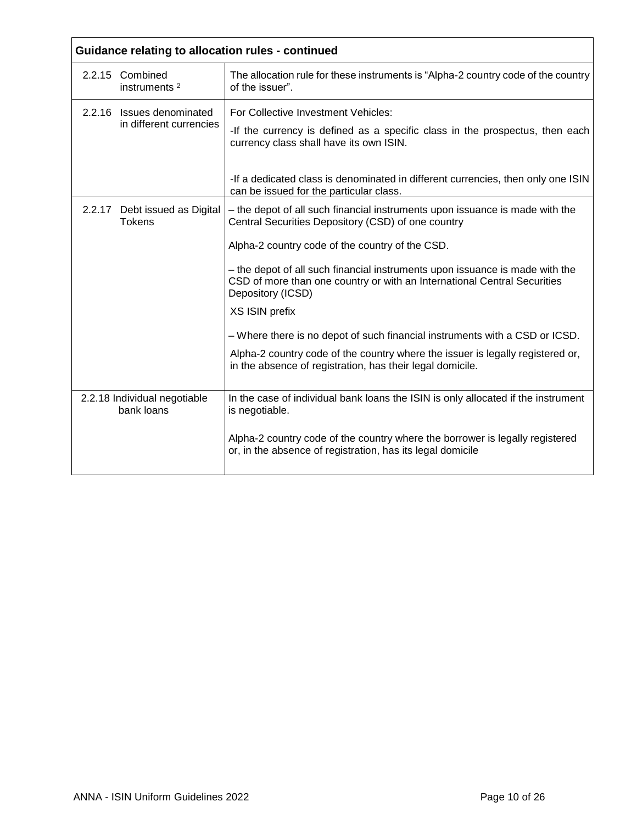| Guidance relating to allocation rules - continued    |                                                                                                                                                                                       |  |
|------------------------------------------------------|---------------------------------------------------------------------------------------------------------------------------------------------------------------------------------------|--|
| 2.2.15 Combined<br>instruments <sup>2</sup>          | The allocation rule for these instruments is "Alpha-2 country code of the country<br>of the issuer".                                                                                  |  |
| 2.2.16 Issues denominated<br>in different currencies | For Collective Investment Vehicles:<br>-If the currency is defined as a specific class in the prospectus, then each<br>currency class shall have its own ISIN.                        |  |
|                                                      | -If a dedicated class is denominated in different currencies, then only one ISIN<br>can be issued for the particular class.                                                           |  |
| 2.2.17 Debt issued as Digital<br><b>Tokens</b>       | - the depot of all such financial instruments upon issuance is made with the<br>Central Securities Depository (CSD) of one country<br>Alpha-2 country code of the country of the CSD. |  |
|                                                      | - the depot of all such financial instruments upon issuance is made with the<br>CSD of more than one country or with an International Central Securities<br>Depository (ICSD)         |  |
|                                                      | XS ISIN prefix                                                                                                                                                                        |  |
|                                                      | - Where there is no depot of such financial instruments with a CSD or ICSD.                                                                                                           |  |
|                                                      | Alpha-2 country code of the country where the issuer is legally registered or,<br>in the absence of registration, has their legal domicile.                                           |  |
| 2.2.18 Individual negotiable<br>bank loans           | In the case of individual bank loans the ISIN is only allocated if the instrument<br>is negotiable.                                                                                   |  |
|                                                      | Alpha-2 country code of the country where the borrower is legally registered<br>or, in the absence of registration, has its legal domicile                                            |  |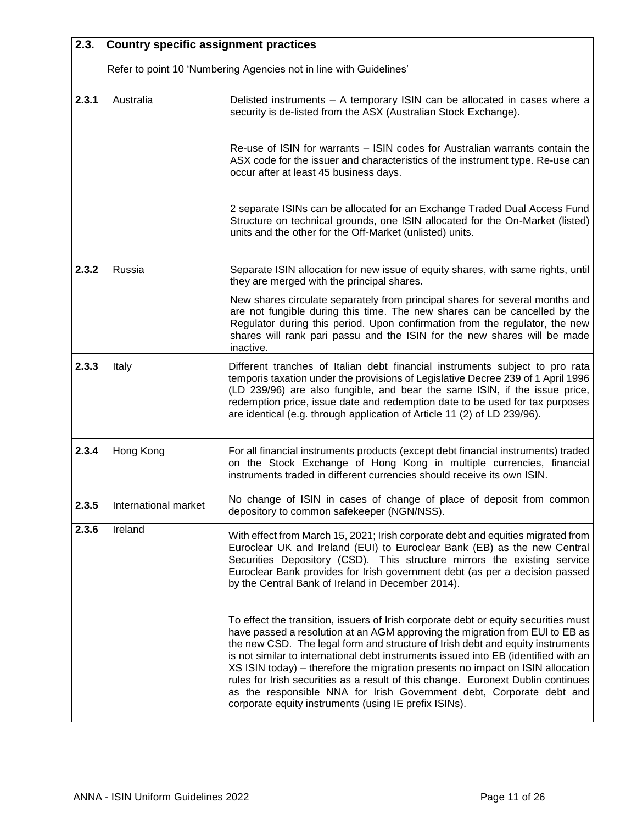<span id="page-10-0"></span>

| 2.3.  | <b>Country specific assignment practices</b>                       |                                                                                                                                                                                                                                                                                                                                                                                                                                                                                                                                                                                                                                                     |  |
|-------|--------------------------------------------------------------------|-----------------------------------------------------------------------------------------------------------------------------------------------------------------------------------------------------------------------------------------------------------------------------------------------------------------------------------------------------------------------------------------------------------------------------------------------------------------------------------------------------------------------------------------------------------------------------------------------------------------------------------------------------|--|
|       | Refer to point 10 'Numbering Agencies not in line with Guidelines' |                                                                                                                                                                                                                                                                                                                                                                                                                                                                                                                                                                                                                                                     |  |
| 2.3.1 | Australia                                                          | Delisted instruments - A temporary ISIN can be allocated in cases where a<br>security is de-listed from the ASX (Australian Stock Exchange).                                                                                                                                                                                                                                                                                                                                                                                                                                                                                                        |  |
|       |                                                                    | Re-use of ISIN for warrants – ISIN codes for Australian warrants contain the<br>ASX code for the issuer and characteristics of the instrument type. Re-use can<br>occur after at least 45 business days.                                                                                                                                                                                                                                                                                                                                                                                                                                            |  |
|       |                                                                    | 2 separate ISINs can be allocated for an Exchange Traded Dual Access Fund<br>Structure on technical grounds, one ISIN allocated for the On-Market (listed)<br>units and the other for the Off-Market (unlisted) units.                                                                                                                                                                                                                                                                                                                                                                                                                              |  |
| 2.3.2 | Russia                                                             | Separate ISIN allocation for new issue of equity shares, with same rights, until<br>they are merged with the principal shares.                                                                                                                                                                                                                                                                                                                                                                                                                                                                                                                      |  |
|       |                                                                    | New shares circulate separately from principal shares for several months and<br>are not fungible during this time. The new shares can be cancelled by the<br>Regulator during this period. Upon confirmation from the regulator, the new<br>shares will rank pari passu and the ISIN for the new shares will be made<br>inactive.                                                                                                                                                                                                                                                                                                                   |  |
| 2.3.3 | Italy                                                              | Different tranches of Italian debt financial instruments subject to pro rata<br>temporis taxation under the provisions of Legislative Decree 239 of 1 April 1996<br>(LD 239/96) are also fungible, and bear the same ISIN, if the issue price,<br>redemption price, issue date and redemption date to be used for tax purposes<br>are identical (e.g. through application of Article 11 (2) of LD 239/96).                                                                                                                                                                                                                                          |  |
| 2.3.4 | Hong Kong                                                          | For all financial instruments products (except debt financial instruments) traded<br>on the Stock Exchange of Hong Kong in multiple currencies, financial<br>instruments traded in different currencies should receive its own ISIN.                                                                                                                                                                                                                                                                                                                                                                                                                |  |
| 2.3.5 | International market                                               | No change of ISIN in cases of change of place of deposit from common<br>depository to common safekeeper (NGN/NSS).                                                                                                                                                                                                                                                                                                                                                                                                                                                                                                                                  |  |
| 2.3.6 | Ireland                                                            | With effect from March 15, 2021; Irish corporate debt and equities migrated from<br>Euroclear UK and Ireland (EUI) to Euroclear Bank (EB) as the new Central<br>Securities Depository (CSD). This structure mirrors the existing service<br>Euroclear Bank provides for Irish government debt (as per a decision passed<br>by the Central Bank of Ireland in December 2014).                                                                                                                                                                                                                                                                        |  |
|       |                                                                    | To effect the transition, issuers of Irish corporate debt or equity securities must<br>have passed a resolution at an AGM approving the migration from EUI to EB as<br>the new CSD. The legal form and structure of Irish debt and equity instruments<br>is not similar to international debt instruments issued into EB (identified with an<br>XS ISIN today) – therefore the migration presents no impact on ISIN allocation<br>rules for Irish securities as a result of this change. Euronext Dublin continues<br>as the responsible NNA for Irish Government debt, Corporate debt and<br>corporate equity instruments (using IE prefix ISINs). |  |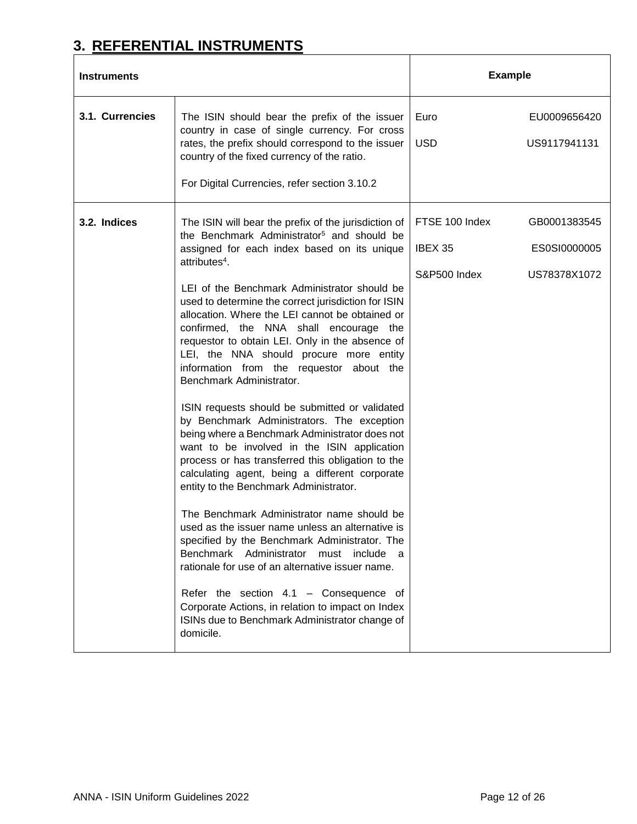# <span id="page-11-0"></span>**3. REFERENTIAL INSTRUMENTS**

| <b>Instruments</b> |                                                                                                                                                                                                                                                                                                                                                                                                                                                                                                                                                                                                                                                                                                                                                                                                                                                                                                                                                                                                                                                                                                                                                                                                                                                                                                                                             | <b>Example</b>                            |                                              |
|--------------------|---------------------------------------------------------------------------------------------------------------------------------------------------------------------------------------------------------------------------------------------------------------------------------------------------------------------------------------------------------------------------------------------------------------------------------------------------------------------------------------------------------------------------------------------------------------------------------------------------------------------------------------------------------------------------------------------------------------------------------------------------------------------------------------------------------------------------------------------------------------------------------------------------------------------------------------------------------------------------------------------------------------------------------------------------------------------------------------------------------------------------------------------------------------------------------------------------------------------------------------------------------------------------------------------------------------------------------------------|-------------------------------------------|----------------------------------------------|
| 3.1. Currencies    | The ISIN should bear the prefix of the issuer<br>country in case of single currency. For cross<br>rates, the prefix should correspond to the issuer<br>country of the fixed currency of the ratio.<br>For Digital Currencies, refer section 3.10.2                                                                                                                                                                                                                                                                                                                                                                                                                                                                                                                                                                                                                                                                                                                                                                                                                                                                                                                                                                                                                                                                                          | Euro<br><b>USD</b>                        | EU0009656420<br>US9117941131                 |
| 3.2. Indices       | The ISIN will bear the prefix of the jurisdiction of<br>the Benchmark Administrator <sup>5</sup> and should be<br>assigned for each index based on its unique<br>attributes <sup>4</sup> .<br>LEI of the Benchmark Administrator should be<br>used to determine the correct jurisdiction for ISIN<br>allocation. Where the LEI cannot be obtained or<br>confirmed, the NNA shall encourage the<br>requestor to obtain LEI. Only in the absence of<br>LEI, the NNA should procure more entity<br>information from the requestor about the<br>Benchmark Administrator.<br>ISIN requests should be submitted or validated<br>by Benchmark Administrators. The exception<br>being where a Benchmark Administrator does not<br>want to be involved in the ISIN application<br>process or has transferred this obligation to the<br>calculating agent, being a different corporate<br>entity to the Benchmark Administrator.<br>The Benchmark Administrator name should be<br>used as the issuer name unless an alternative is<br>specified by the Benchmark Administrator. The<br>Benchmark Administrator must include<br>a,<br>rationale for use of an alternative issuer name.<br>Refer the section $4.1$ – Consequence of<br>Corporate Actions, in relation to impact on Index<br>ISINs due to Benchmark Administrator change of<br>domicile. | FTSE 100 Index<br>IBEX 35<br>S&P500 Index | GB0001383545<br>ES0SI0000005<br>US78378X1072 |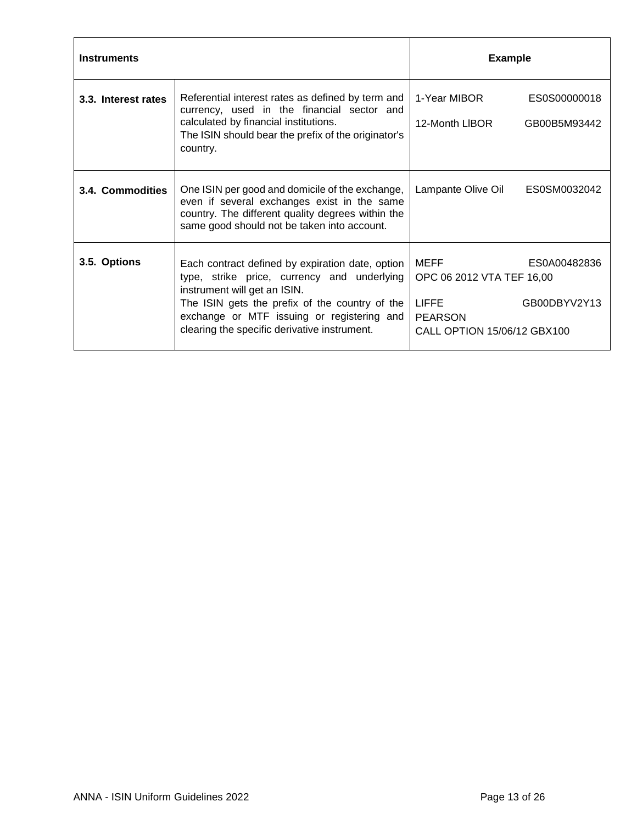| <b>Instruments</b>  |                                                                                                                                                                                                                                                                                 | <b>Example</b>                                                                                                                     |  |
|---------------------|---------------------------------------------------------------------------------------------------------------------------------------------------------------------------------------------------------------------------------------------------------------------------------|------------------------------------------------------------------------------------------------------------------------------------|--|
| 3.3. Interest rates | Referential interest rates as defined by term and<br>currency, used in the financial sector and<br>calculated by financial institutions.<br>The ISIN should bear the prefix of the originator's<br>country.                                                                     | 1-Year MIBOR<br>ES0S00000018<br>12-Month LIBOR<br>GB00B5M93442                                                                     |  |
| 3.4. Commodities    | One ISIN per good and domicile of the exchange,<br>even if several exchanges exist in the same<br>country. The different quality degrees within the<br>same good should not be taken into account.                                                                              | Lampante Olive Oil<br>ES0SM0032042                                                                                                 |  |
| 3.5. Options        | Each contract defined by expiration date, option<br>type, strike price, currency and underlying<br>instrument will get an ISIN.<br>The ISIN gets the prefix of the country of the<br>exchange or MTF issuing or registering and<br>clearing the specific derivative instrument. | MEFF<br>ES0A00482836<br>OPC 06 2012 VTA TEF 16,00<br><b>LIFFE</b><br>GB00DBYV2Y13<br><b>PEARSON</b><br>CALL OPTION 15/06/12 GBX100 |  |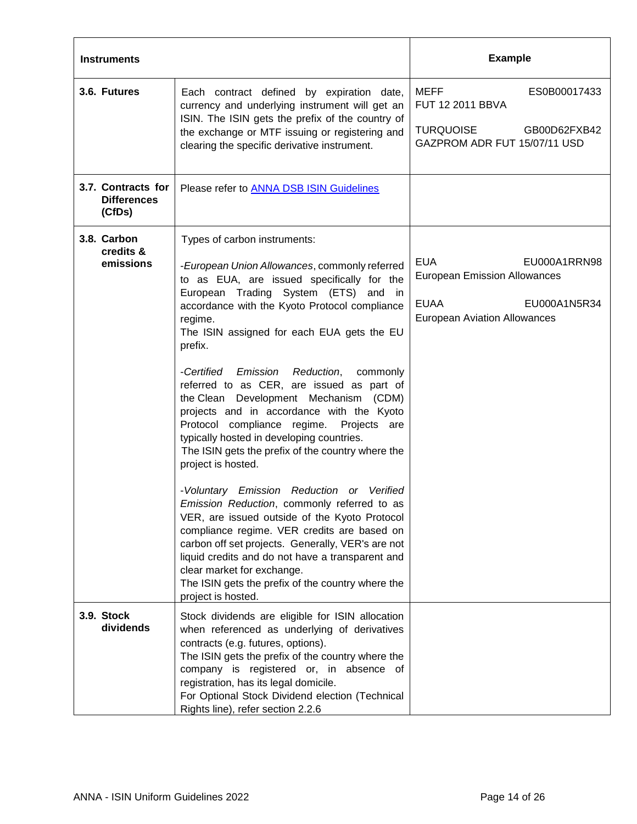| <b>Instruments</b>                                 |                                                                                                                                                                                                                                                                                                                                                                                                                                                                                                                                                                                                                                                                                                                                                                                                                                                                                                                                                                                                                                                          | <b>Example</b>                                                                                                                          |
|----------------------------------------------------|----------------------------------------------------------------------------------------------------------------------------------------------------------------------------------------------------------------------------------------------------------------------------------------------------------------------------------------------------------------------------------------------------------------------------------------------------------------------------------------------------------------------------------------------------------------------------------------------------------------------------------------------------------------------------------------------------------------------------------------------------------------------------------------------------------------------------------------------------------------------------------------------------------------------------------------------------------------------------------------------------------------------------------------------------------|-----------------------------------------------------------------------------------------------------------------------------------------|
| 3.6. Futures                                       | Each contract defined by expiration date,<br>currency and underlying instrument will get an<br>ISIN. The ISIN gets the prefix of the country of<br>the exchange or MTF issuing or registering and<br>clearing the specific derivative instrument.                                                                                                                                                                                                                                                                                                                                                                                                                                                                                                                                                                                                                                                                                                                                                                                                        | MEFF<br>ES0B00017433<br>FUT 12 2011 BBVA<br><b>TURQUOISE</b><br>GB00D62FXB42<br>GAZPROM ADR FUT 15/07/11 USD                            |
| 3.7. Contracts for<br><b>Differences</b><br>(CfDs) | Please refer to <b>ANNA DSB ISIN Guidelines</b>                                                                                                                                                                                                                                                                                                                                                                                                                                                                                                                                                                                                                                                                                                                                                                                                                                                                                                                                                                                                          |                                                                                                                                         |
| 3.8. Carbon<br>credits &<br>emissions              | Types of carbon instruments:<br>-European Union Allowances, commonly referred<br>to as EUA, are issued specifically for the<br>European Trading System (ETS) and in<br>accordance with the Kyoto Protocol compliance<br>regime.<br>The ISIN assigned for each EUA gets the EU<br>prefix.<br>-Certified Emission Reduction, commonly<br>referred to as CER, are issued as part of<br>the Clean Development Mechanism (CDM)<br>projects and in accordance with the Kyoto<br>Protocol compliance regime. Projects are<br>typically hosted in developing countries.<br>The ISIN gets the prefix of the country where the<br>project is hosted.<br>-Voluntary Emission Reduction or Verified<br>Emission Reduction, commonly referred to as<br>VER, are issued outside of the Kyoto Protocol<br>compliance regime. VER credits are based on<br>carbon off set projects. Generally, VER's are not<br>liquid credits and do not have a transparent and<br>clear market for exchange.<br>The ISIN gets the prefix of the country where the<br>project is hosted. | <b>EUA</b><br>EU000A1RRN98<br><b>European Emission Allowances</b><br><b>EUAA</b><br>EU000A1N5R34<br><b>European Aviation Allowances</b> |
| 3.9. Stock<br>dividends                            | Stock dividends are eligible for ISIN allocation<br>when referenced as underlying of derivatives<br>contracts (e.g. futures, options).<br>The ISIN gets the prefix of the country where the<br>company is registered or, in absence of<br>registration, has its legal domicile.<br>For Optional Stock Dividend election (Technical<br>Rights line), refer section 2.2.6                                                                                                                                                                                                                                                                                                                                                                                                                                                                                                                                                                                                                                                                                  |                                                                                                                                         |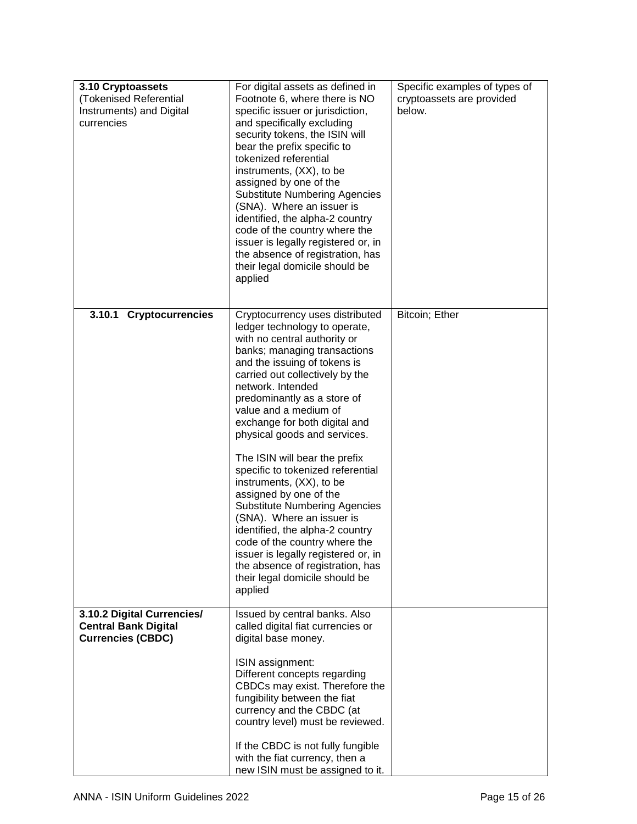| 3.10 Cryptoassets<br>(Tokenised Referential<br>Instruments) and Digital<br>currencies | For digital assets as defined in<br>Footnote 6, where there is NO<br>specific issuer or jurisdiction,<br>and specifically excluding<br>security tokens, the ISIN will<br>bear the prefix specific to<br>tokenized referential<br>instruments, (XX), to be<br>assigned by one of the<br><b>Substitute Numbering Agencies</b><br>(SNA). Where an issuer is<br>identified, the alpha-2 country<br>code of the country where the<br>issuer is legally registered or, in<br>the absence of registration, has<br>their legal domicile should be<br>applied | Specific examples of types of<br>cryptoassets are provided<br>below. |
|---------------------------------------------------------------------------------------|------------------------------------------------------------------------------------------------------------------------------------------------------------------------------------------------------------------------------------------------------------------------------------------------------------------------------------------------------------------------------------------------------------------------------------------------------------------------------------------------------------------------------------------------------|----------------------------------------------------------------------|
| 3.10.1 Cryptocurrencies                                                               | Cryptocurrency uses distributed<br>ledger technology to operate,<br>with no central authority or<br>banks; managing transactions<br>and the issuing of tokens is<br>carried out collectively by the<br>network. Intended<br>predominantly as a store of<br>value and a medium of<br>exchange for both digital and<br>physical goods and services.                                                                                                                                                                                                    | Bitcoin; Ether                                                       |
|                                                                                       | The ISIN will bear the prefix<br>specific to tokenized referential<br>instruments, (XX), to be<br>assigned by one of the<br><b>Substitute Numbering Agencies</b><br>(SNA). Where an issuer is<br>identified, the alpha-2 country<br>code of the country where the<br>issuer is legally registered or, in<br>the absence of registration, has<br>their legal domicile should be<br>applied                                                                                                                                                            |                                                                      |
| 3.10.2 Digital Currencies/<br><b>Central Bank Digital</b><br><b>Currencies (CBDC)</b> | Issued by central banks. Also<br>called digital fiat currencies or<br>digital base money.<br>ISIN assignment:<br>Different concepts regarding<br>CBDCs may exist. Therefore the<br>fungibility between the fiat<br>currency and the CBDC (at<br>country level) must be reviewed.<br>If the CBDC is not fully fungible<br>with the fiat currency, then a                                                                                                                                                                                              |                                                                      |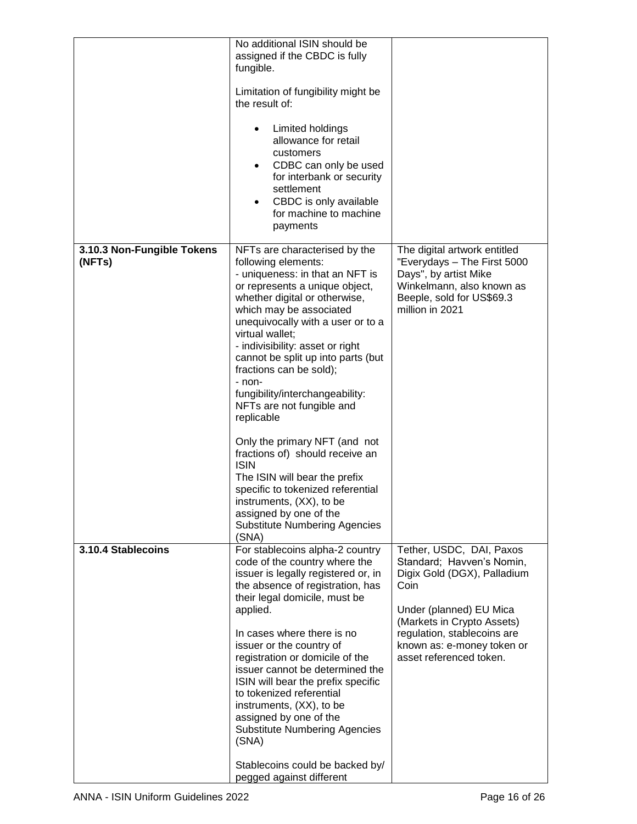|                                      | No additional ISIN should be<br>assigned if the CBDC is fully<br>fungible.<br>Limitation of fungibility might be<br>the result of:<br>Limited holdings<br>٠<br>allowance for retail<br>customers<br>CDBC can only be used<br>$\bullet$<br>for interbank or security<br>settlement<br>CBDC is only available<br>for machine to machine<br>payments                                                                                                                                                                                                                                                                                                                                                 |                                                                                                                                                                                                                                               |
|--------------------------------------|---------------------------------------------------------------------------------------------------------------------------------------------------------------------------------------------------------------------------------------------------------------------------------------------------------------------------------------------------------------------------------------------------------------------------------------------------------------------------------------------------------------------------------------------------------------------------------------------------------------------------------------------------------------------------------------------------|-----------------------------------------------------------------------------------------------------------------------------------------------------------------------------------------------------------------------------------------------|
| 3.10.3 Non-Fungible Tokens<br>(NFTs) | NFTs are characterised by the<br>following elements:<br>- uniqueness: in that an NFT is<br>or represents a unique object,<br>whether digital or otherwise,<br>which may be associated<br>unequivocally with a user or to a<br>virtual wallet;<br>- indivisibility: asset or right<br>cannot be split up into parts (but<br>fractions can be sold);<br>- non-<br>fungibility/interchangeability:<br>NFTs are not fungible and<br>replicable<br>Only the primary NFT (and not<br>fractions of) should receive an<br><b>ISIN</b><br>The ISIN will bear the prefix<br>specific to tokenized referential<br>instruments, (XX), to be<br>assigned by one of the<br><b>Substitute Numbering Agencies</b> | The digital artwork entitled<br>"Everydays - The First 5000<br>Days", by artist Mike<br>Winkelmann, also known as<br>Beeple, sold for US\$69.3<br>million in 2021                                                                             |
| 3.10.4 Stablecoins                   | (SNA)<br>For stablecoins alpha-2 country<br>code of the country where the<br>issuer is legally registered or, in<br>the absence of registration, has<br>their legal domicile, must be<br>applied.<br>In cases where there is no<br>issuer or the country of<br>registration or domicile of the<br>issuer cannot be determined the<br>ISIN will bear the prefix specific<br>to tokenized referential<br>instruments, (XX), to be<br>assigned by one of the<br><b>Substitute Numbering Agencies</b><br>(SNA)<br>Stablecoins could be backed by/<br>pegged against different                                                                                                                         | Tether, USDC, DAI, Paxos<br>Standard; Havven's Nomin,<br>Digix Gold (DGX), Palladium<br>Coin<br>Under (planned) EU Mica<br>(Markets in Crypto Assets)<br>regulation, stablecoins are<br>known as: e-money token or<br>asset referenced token. |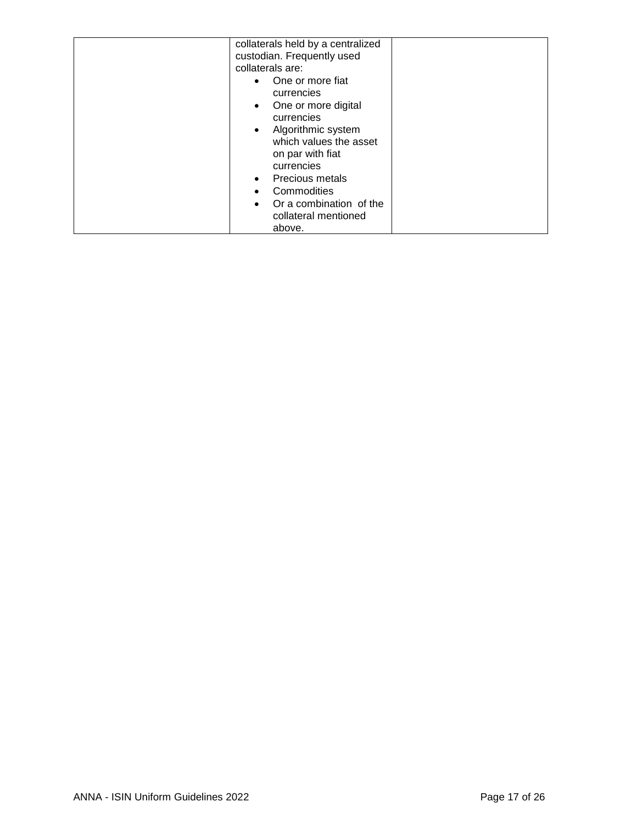| collaterals held by a centralized<br>custodian. Frequently used<br>collaterals are:<br>One or more fiat<br>currencies<br>One or more digital<br>$\bullet$<br>currencies<br>Algorithmic system<br>$\bullet$<br>which values the asset<br>on par with fiat<br>currencies<br><b>Precious metals</b><br>$\bullet$<br>Commodities<br>Or a combination of the<br>collateral mentioned |  |
|---------------------------------------------------------------------------------------------------------------------------------------------------------------------------------------------------------------------------------------------------------------------------------------------------------------------------------------------------------------------------------|--|
| above.                                                                                                                                                                                                                                                                                                                                                                          |  |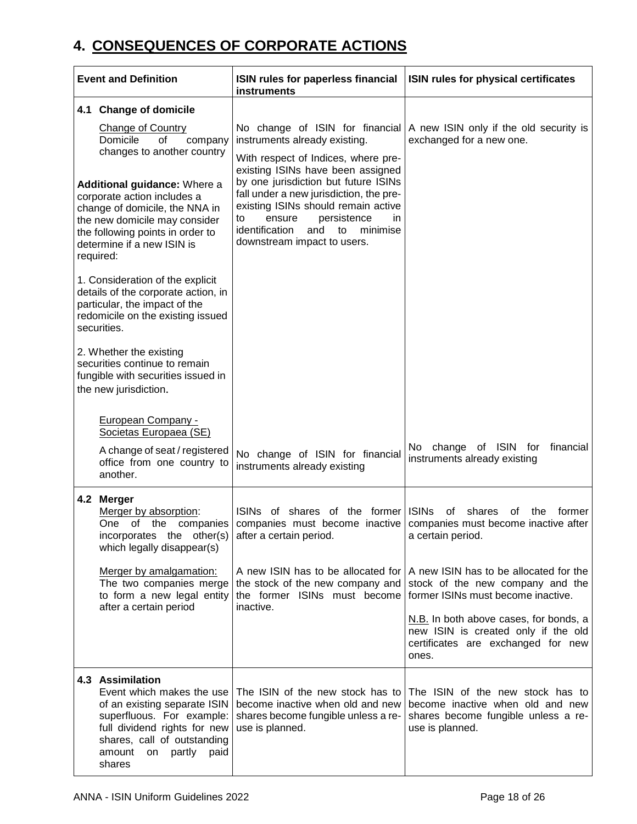# <span id="page-17-0"></span>**4. CONSEQUENCES OF CORPORATE ACTIONS**

| <b>Event and Definition</b>                                                                                                                                                                                                                                                                          | ISIN rules for paperless financial<br><b>instruments</b>                                                                                                                                                                                                                                                                                           | ISIN rules for physical certificates                                                                                                          |
|------------------------------------------------------------------------------------------------------------------------------------------------------------------------------------------------------------------------------------------------------------------------------------------------------|----------------------------------------------------------------------------------------------------------------------------------------------------------------------------------------------------------------------------------------------------------------------------------------------------------------------------------------------------|-----------------------------------------------------------------------------------------------------------------------------------------------|
| 4.1 Change of domicile                                                                                                                                                                                                                                                                               |                                                                                                                                                                                                                                                                                                                                                    |                                                                                                                                               |
| <b>Change of Country</b><br>Domicile<br>of<br>company<br>changes to another country<br>Additional guidance: Where a<br>corporate action includes a<br>change of domicile, the NNA in<br>the new domicile may consider<br>the following points in order to<br>determine if a new ISIN is<br>required: | instruments already existing.<br>With respect of Indices, where pre-<br>existing ISINs have been assigned<br>by one jurisdiction but future ISINs<br>fall under a new jurisdiction, the pre-<br>existing ISINs should remain active<br>ensure<br>persistence<br>in<br>to<br>identification<br>minimise<br>and<br>to<br>downstream impact to users. | No change of ISIN for financial   A new ISIN only if the old security is<br>exchanged for a new one.                                          |
| 1. Consideration of the explicit<br>details of the corporate action, in<br>particular, the impact of the<br>redomicile on the existing issued<br>securities.                                                                                                                                         |                                                                                                                                                                                                                                                                                                                                                    |                                                                                                                                               |
| 2. Whether the existing<br>securities continue to remain<br>fungible with securities issued in<br>the new jurisdiction.                                                                                                                                                                              |                                                                                                                                                                                                                                                                                                                                                    |                                                                                                                                               |
| <b>European Company -</b><br>Societas Europaea (SE)                                                                                                                                                                                                                                                  |                                                                                                                                                                                                                                                                                                                                                    |                                                                                                                                               |
| A change of seat / registered<br>office from one country to<br>another.                                                                                                                                                                                                                              | No change of ISIN for financial<br>instruments already existing                                                                                                                                                                                                                                                                                    | No change of ISIN for<br>financial<br>instruments already existing                                                                            |
| 4.2 Merger<br>Merger by absorption:<br>of the companies<br>One<br>incorporates the other(s)<br>which legally disappear(s)                                                                                                                                                                            | ISINs of shares of the former ISINs<br>after a certain period.                                                                                                                                                                                                                                                                                     | shares<br>οf<br>οf<br>the<br>former<br>companies must become inactive companies must become inactive after<br>a certain period.               |
| Merger by amalgamation:<br>The two companies merge<br>to form a new legal entity<br>after a certain period                                                                                                                                                                                           | A new ISIN has to be allocated for<br>the stock of the new company and<br>inactive.                                                                                                                                                                                                                                                                | A new ISIN has to be allocated for the<br>stock of the new company and the<br>the former ISINs must become former ISINs must become inactive. |
|                                                                                                                                                                                                                                                                                                      |                                                                                                                                                                                                                                                                                                                                                    | N.B. In both above cases, for bonds, a<br>new ISIN is created only if the old<br>certificates are exchanged for new<br>ones.                  |
| 4.3 Assimilation<br>Event which makes the use<br>of an existing separate ISIN<br>superfluous. For example:<br>full dividend rights for new<br>shares, call of outstanding<br>amount on partly paid<br>shares                                                                                         | The ISIN of the new stock has to<br>become inactive when old and new<br>shares become fungible unless a re-<br>use is planned.                                                                                                                                                                                                                     | The ISIN of the new stock has to<br>become inactive when old and new<br>shares become fungible unless a re-<br>use is planned.                |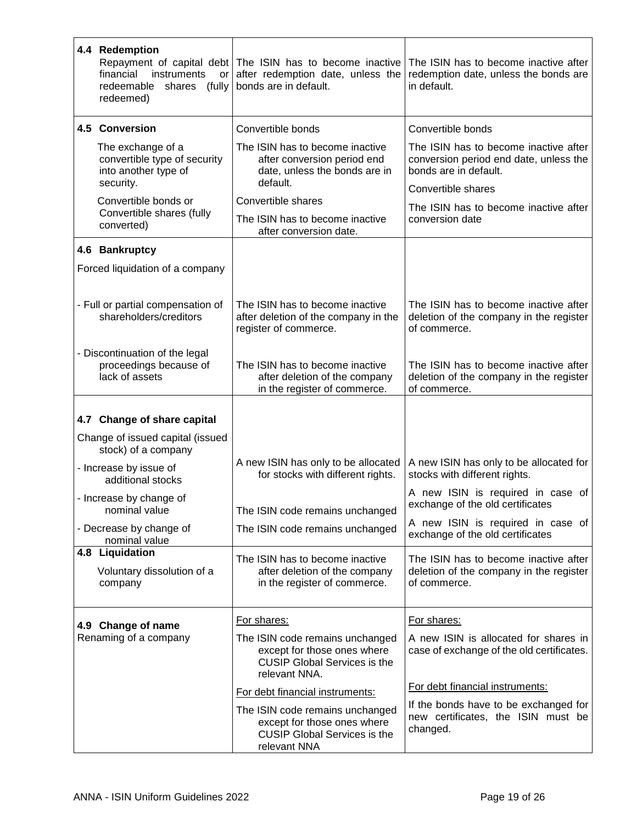| 4.4 Redemption<br>financial<br>instruments<br>or<br>redeemable shares (fully<br>redeemed)     | Repayment of capital debt The ISIN has to become inactive<br>after redemption date, unless the<br>bonds are in default. | The ISIN has to become inactive after<br>redemption date, unless the bonds are<br>in default.            |
|-----------------------------------------------------------------------------------------------|-------------------------------------------------------------------------------------------------------------------------|----------------------------------------------------------------------------------------------------------|
| 4.5 Conversion                                                                                | Convertible bonds                                                                                                       | Convertible bonds                                                                                        |
| The exchange of a<br>convertible type of security<br>into another type of<br>security.        | The ISIN has to become inactive<br>after conversion period end<br>date, unless the bonds are in<br>default.             | The ISIN has to become inactive after<br>conversion period end date, unless the<br>bonds are in default. |
| Convertible bonds or                                                                          | Convertible shares                                                                                                      | Convertible shares                                                                                       |
| Convertible shares (fully<br>converted)                                                       | The ISIN has to become inactive<br>after conversion date.                                                               | The ISIN has to become inactive after<br>conversion date                                                 |
| 4.6 Bankruptcy                                                                                |                                                                                                                         |                                                                                                          |
| Forced liquidation of a company                                                               |                                                                                                                         |                                                                                                          |
| - Full or partial compensation of<br>shareholders/creditors<br>- Discontinuation of the legal | The ISIN has to become inactive<br>after deletion of the company in the<br>register of commerce.                        | The ISIN has to become inactive after<br>deletion of the company in the register<br>of commerce.         |
| proceedings because of<br>lack of assets                                                      | The ISIN has to become inactive<br>after deletion of the company<br>in the register of commerce.                        | The ISIN has to become inactive after<br>deletion of the company in the register<br>of commerce.         |
| 4.7 Change of share capital<br>Change of issued capital (issued                               |                                                                                                                         |                                                                                                          |
| stock) of a company<br>- Increase by issue of<br>additional stocks                            | A new ISIN has only to be allocated<br>for stocks with different rights.                                                | A new ISIN has only to be allocated for<br>stocks with different rights.                                 |
| - Increase by change of<br>nominal value                                                      | The ISIN code remains unchanged                                                                                         | A new ISIN is required in case of<br>exchange of the old certificates                                    |
| - Decrease by change of<br>nominal value                                                      | The ISIN code remains unchanged                                                                                         | A new ISIN is required in case of<br>exchange of the old certificates                                    |
| 4.8 Liquidation<br>Voluntary dissolution of a<br>company                                      | The ISIN has to become inactive<br>after deletion of the company<br>in the register of commerce.                        | The ISIN has to become inactive after<br>deletion of the company in the register<br>of commerce.         |
| 4.9 Change of name                                                                            | For shares:                                                                                                             | For shares:                                                                                              |
| Renaming of a company                                                                         | The ISIN code remains unchanged<br>except for those ones where<br><b>CUSIP Global Services is the</b><br>relevant NNA.  | A new ISIN is allocated for shares in<br>case of exchange of the old certificates.                       |
|                                                                                               | For debt financial instruments:                                                                                         | For debt financial instruments:                                                                          |
|                                                                                               | The ISIN code remains unchanged<br>except for those ones where<br><b>CUSIP Global Services is the</b><br>relevant NNA   | If the bonds have to be exchanged for<br>new certificates, the ISIN must be<br>changed.                  |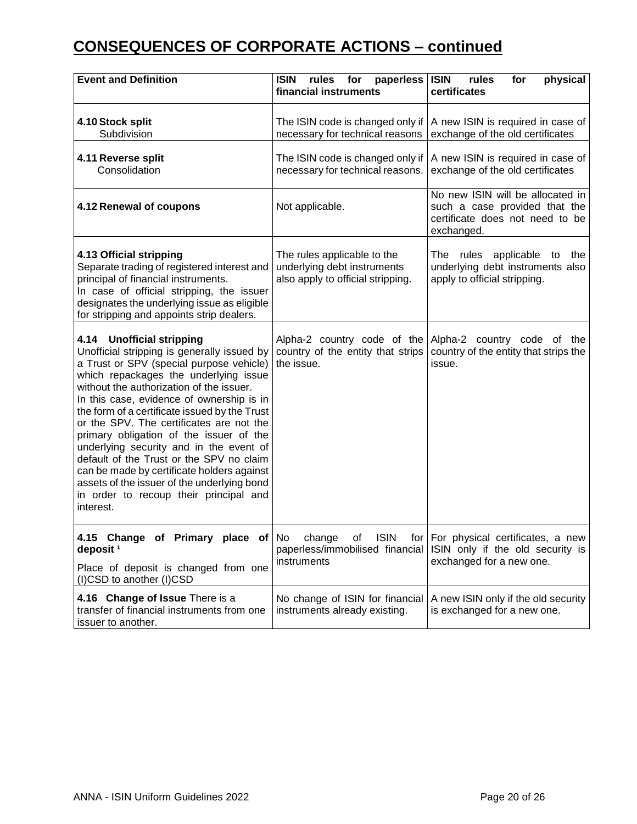# **CONSEQUENCES OF CORPORATE ACTIONS – continued**

| <b>Event and Definition</b>                                                                                                                                                                                                                                                                                                                                                                                                                                                                                                                                                                                                               | <b>ISIN</b><br>paperless<br>rules<br>for<br>financial instruments                               | <b>ISIN</b><br>rules<br>physical<br>for<br>certificates                                                            |
|-------------------------------------------------------------------------------------------------------------------------------------------------------------------------------------------------------------------------------------------------------------------------------------------------------------------------------------------------------------------------------------------------------------------------------------------------------------------------------------------------------------------------------------------------------------------------------------------------------------------------------------------|-------------------------------------------------------------------------------------------------|--------------------------------------------------------------------------------------------------------------------|
| 4.10 Stock split<br>Subdivision                                                                                                                                                                                                                                                                                                                                                                                                                                                                                                                                                                                                           | The ISIN code is changed only if<br>necessary for technical reasons                             | A new ISIN is required in case of<br>exchange of the old certificates                                              |
| 4.11 Reverse split<br>Consolidation                                                                                                                                                                                                                                                                                                                                                                                                                                                                                                                                                                                                       | The ISIN code is changed only if<br>necessary for technical reasons.                            | A new ISIN is required in case of<br>exchange of the old certificates                                              |
| 4.12 Renewal of coupons                                                                                                                                                                                                                                                                                                                                                                                                                                                                                                                                                                                                                   | Not applicable.                                                                                 | No new ISIN will be allocated in<br>such a case provided that the<br>certificate does not need to be<br>exchanged. |
| 4.13 Official stripping<br>Separate trading of registered interest and<br>principal of financial instruments.<br>In case of official stripping, the issuer<br>designates the underlying issue as eligible<br>for stripping and appoints strip dealers.                                                                                                                                                                                                                                                                                                                                                                                    | The rules applicable to the<br>underlying debt instruments<br>also apply to official stripping. | The rules applicable to<br>the<br>underlying debt instruments also<br>apply to official stripping.                 |
| 4.14 Unofficial stripping<br>Unofficial stripping is generally issued by<br>a Trust or SPV (special purpose vehicle)<br>which repackages the underlying issue<br>without the authorization of the issuer.<br>In this case, evidence of ownership is in<br>the form of a certificate issued by the Trust<br>or the SPV. The certificates are not the<br>primary obligation of the issuer of the<br>underlying security and in the event of<br>default of the Trust or the SPV no claim<br>can be made by certificate holders against<br>assets of the issuer of the underlying bond<br>in order to recoup their principal and<br>interest. | Alpha-2 country code of the<br>country of the entity that strips<br>the issue.                  | Alpha-2 country code of the<br>country of the entity that strips the<br>issue.                                     |
| 4.15 Change of Primary place of No<br>deposit <sup>1</sup><br>Place of deposit is changed from one<br>(I)CSD to another (I)CSD                                                                                                                                                                                                                                                                                                                                                                                                                                                                                                            | change<br>paperless/immobilised financial<br>instruments                                        | of ISIN for For physical certificates, a new<br>ISIN only if the old security is<br>exchanged for a new one.       |
| 4.16 Change of Issue There is a<br>transfer of financial instruments from one<br>issuer to another.                                                                                                                                                                                                                                                                                                                                                                                                                                                                                                                                       | No change of ISIN for financial<br>instruments already existing.                                | A new ISIN only if the old security<br>is exchanged for a new one.                                                 |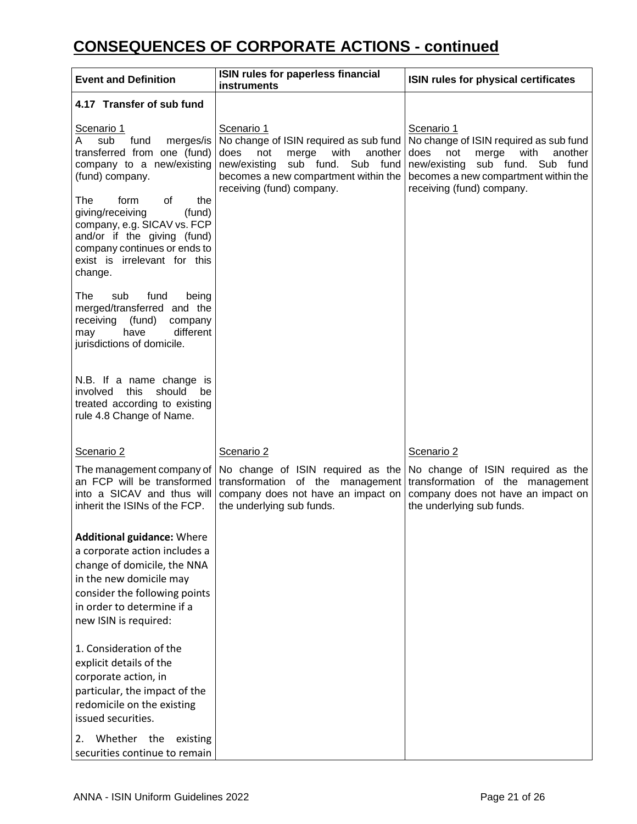## **CONSEQUENCES OF CORPORATE ACTIONS - continued**

| <b>Event and Definition</b>                                                                                                                                                                                          | ISIN rules for paperless financial<br><b>instruments</b>                                                                                                                                                      | ISIN rules for physical certificates                                                                                                                                                                       |
|----------------------------------------------------------------------------------------------------------------------------------------------------------------------------------------------------------------------|---------------------------------------------------------------------------------------------------------------------------------------------------------------------------------------------------------------|------------------------------------------------------------------------------------------------------------------------------------------------------------------------------------------------------------|
| 4.17 Transfer of sub fund                                                                                                                                                                                            |                                                                                                                                                                                                               |                                                                                                                                                                                                            |
| Scenario 1<br>sub<br>fund<br>merges/is<br>Α<br>transferred from one (fund)<br>company to a new/existing<br>(fund) company.                                                                                           | Scenario 1<br>No change of ISIN required as sub fund<br>does<br>not<br>merge<br>with<br>another<br>sub fund.<br>new/existing<br>Sub fund<br>becomes a new compartment within the<br>receiving (fund) company. | Scenario 1<br>No change of ISIN required as sub fund<br>does<br>not<br>with<br>another<br>merge<br>sub fund. Sub fund<br>new/existing<br>becomes a new compartment within the<br>receiving (fund) company. |
| the<br>The<br>form<br>οf<br>giving/receiving<br>(fund)<br>company, e.g. SICAV vs. FCP<br>and/or if the giving (fund)<br>company continues or ends to<br>exist is irrelevant for this<br>change.                      |                                                                                                                                                                                                               |                                                                                                                                                                                                            |
| sub<br>fund<br>The<br>being<br>merged/transferred and the<br>(fund)<br>receiving<br>company<br>different<br>have<br>may<br>jurisdictions of domicile.                                                                |                                                                                                                                                                                                               |                                                                                                                                                                                                            |
| N.B. If a name change is<br>involved<br>this<br>should<br>be<br>treated according to existing<br>rule 4.8 Change of Name.                                                                                            |                                                                                                                                                                                                               |                                                                                                                                                                                                            |
| Scenario 2                                                                                                                                                                                                           | Scenario 2                                                                                                                                                                                                    | Scenario 2                                                                                                                                                                                                 |
| The management company of<br>an FCP will be transformed<br>into a SICAV and thus will<br>inherit the ISINs of the FCP.                                                                                               | No change of ISIN required as the<br>transformation of the management<br>company does not have an impact on<br>the underlying sub funds.                                                                      | No change of ISIN required as the<br>transformation of the management<br>company does not have an impact on<br>the underlying sub funds.                                                                   |
| <b>Additional guidance: Where</b><br>a corporate action includes a<br>change of domicile, the NNA<br>in the new domicile may<br>consider the following points<br>in order to determine if a<br>new ISIN is required: |                                                                                                                                                                                                               |                                                                                                                                                                                                            |
| 1. Consideration of the<br>explicit details of the<br>corporate action, in<br>particular, the impact of the<br>redomicile on the existing<br>issued securities.                                                      |                                                                                                                                                                                                               |                                                                                                                                                                                                            |
| Whether the<br>2.<br>existing<br>securities continue to remain                                                                                                                                                       |                                                                                                                                                                                                               |                                                                                                                                                                                                            |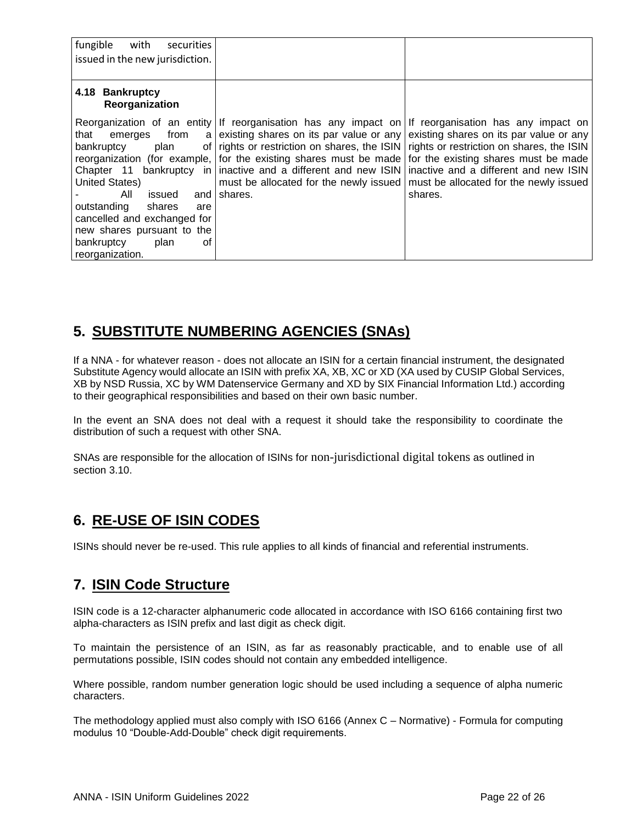| fungible<br>with<br>securities<br>issued in the new jurisdiction.                                                                                                                                                                                                              |                                                                                                                                                                                                                                                                                                                                                                 |                                                                                                                                                                                                                           |
|--------------------------------------------------------------------------------------------------------------------------------------------------------------------------------------------------------------------------------------------------------------------------------|-----------------------------------------------------------------------------------------------------------------------------------------------------------------------------------------------------------------------------------------------------------------------------------------------------------------------------------------------------------------|---------------------------------------------------------------------------------------------------------------------------------------------------------------------------------------------------------------------------|
| 4.18 Bankruptcy<br>Reorganization                                                                                                                                                                                                                                              |                                                                                                                                                                                                                                                                                                                                                                 |                                                                                                                                                                                                                           |
| that<br>from<br>emerges<br>a l<br>bankruptcy<br>plan<br>of I<br>Chapter 11 bankruptcy in<br>United States)<br>All<br>issued<br>and<br>outstanding<br>shares<br>are<br>cancelled and exchanged for<br>new shares pursuant to the<br>bankruptcy<br>plan<br>οf<br>reorganization. | Reorganization of an entity If reorganisation has any impact on<br>existing shares on its par value or any<br>rights or restriction on shares, the ISIN<br>reorganization (for example, for the existing shares must be made for the existing shares must be made<br>inactive and a different and new ISIN<br>must be allocated for the newly issued<br>shares. | If reorganisation has any impact on<br>existing shares on its par value or any<br>rights or restriction on shares, the ISIN<br>inactive and a different and new ISIN<br>must be allocated for the newly issued<br>shares. |

### <span id="page-21-0"></span>**5. SUBSTITUTE NUMBERING AGENCIES (SNAs)**

If a NNA - for whatever reason - does not allocate an ISIN for a certain financial instrument, the designated Substitute Agency would allocate an ISIN with prefix XA, XB, XC or XD (XA used by CUSIP Global Services, XB by NSD Russia, XC by WM Datenservice Germany and XD by SIX Financial Information Ltd.) according to their geographical responsibilities and based on their own basic number.

In the event an SNA does not deal with a request it should take the responsibility to coordinate the distribution of such a request with other SNA.

SNAs are responsible for the allocation of ISINs for non-jurisdictional digital tokens as outlined in section 3.10.

### <span id="page-21-1"></span>**6. RE-USE OF ISIN CODES**

ISINs should never be re-used. This rule applies to all kinds of financial and referential instruments.

### <span id="page-21-2"></span>**7. ISIN Code Structure**

ISIN code is a 12-character alphanumeric code allocated in accordance with ISO 6166 containing first two alpha-characters as ISIN prefix and last digit as check digit.

To maintain the persistence of an ISIN, as far as reasonably practicable, and to enable use of all permutations possible, ISIN codes should not contain any embedded intelligence.

Where possible, random number generation logic should be used including a sequence of alpha numeric characters.

The methodology applied must also comply with ISO 6166 (Annex C – Normative) - Formula for computing modulus 10 "Double-Add-Double" check digit requirements.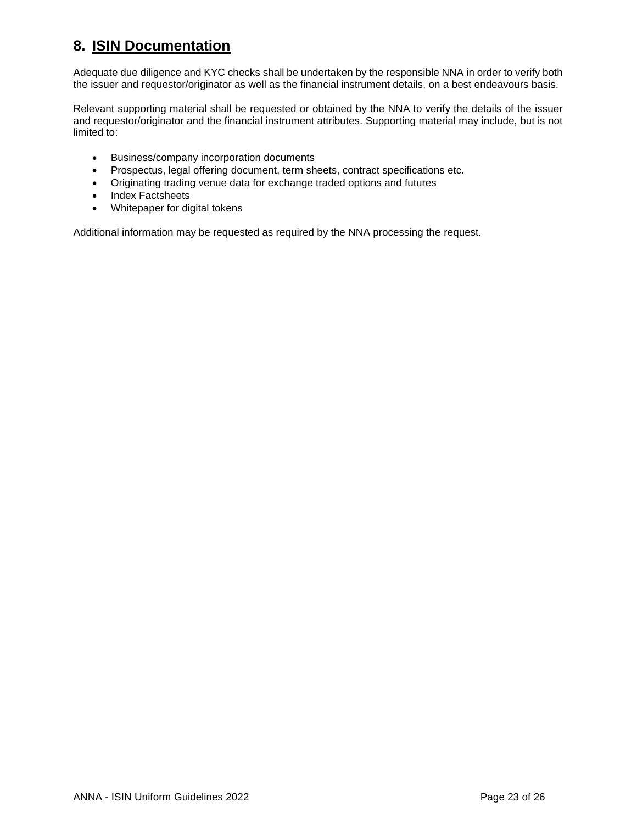### <span id="page-22-0"></span>**8. ISIN Documentation**

Adequate due diligence and KYC checks shall be undertaken by the responsible NNA in order to verify both the issuer and requestor/originator as well as the financial instrument details, on a best endeavours basis.

Relevant supporting material shall be requested or obtained by the NNA to verify the details of the issuer and requestor/originator and the financial instrument attributes. Supporting material may include, but is not limited to:

- Business/company incorporation documents
- Prospectus, legal offering document, term sheets, contract specifications etc.
- Originating trading venue data for exchange traded options and futures
- Index Factsheets
- Whitepaper for digital tokens

Additional information may be requested as required by the NNA processing the request.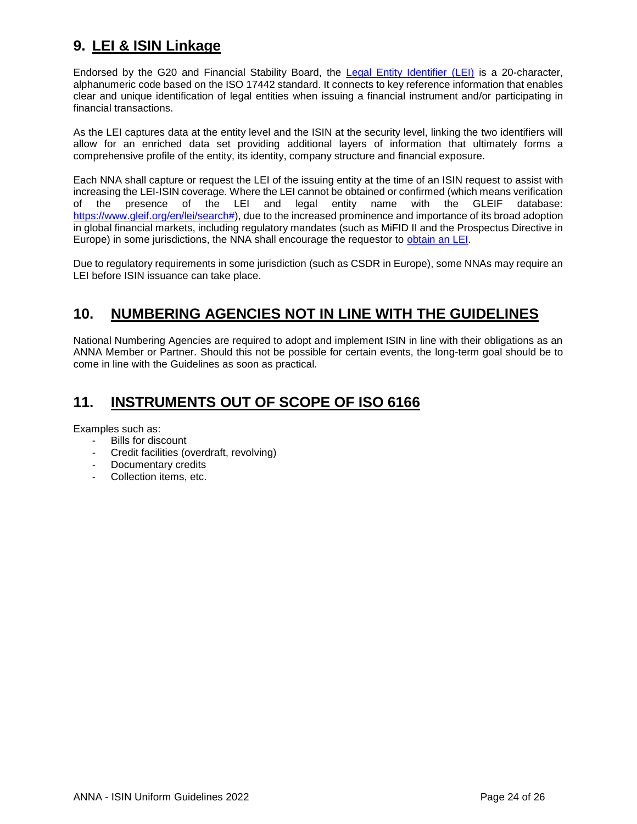### <span id="page-23-0"></span>**9. LEI & ISIN Linkage**

Endorsed by the G20 and Financial Stability Board, the [Legal Entity Identifier \(LEI\)](https://www.gleif.org/en/about-lei/introducing-the-legal-entity-identifier-lei) is a 20-character, alphanumeric code based on the ISO 17442 standard. It connects to key reference information that enables clear and unique identification of legal entities when issuing a financial instrument and/or participating in financial transactions.

As the LEI captures data at the entity level and the ISIN at the security level, linking the two identifiers will allow for an enriched data set providing additional layers of information that ultimately forms a comprehensive profile of the entity, its identity, company structure and financial exposure.

Each NNA shall capture or request the LEI of the issuing entity at the time of an ISIN request to assist with increasing the LEI-ISIN coverage. Where the LEI cannot be obtained or confirmed (which means verification of the presence of the LEI and legal entity name with the GLEIF database: [https://www.gleif.org/en/lei/search#\)](https://www.gleif.org/en/lei/search), due to the increased prominence and importance of its broad adoption in global financial markets, including regulatory mandates (such as MiFID II and the Prospectus Directive in Europe) in some jurisdictions, the NNA shall encourage the requestor to [obtain an LEI.](https://www.gleif.org/en/about-lei/how-to-get-an-lei-find-lei-issuing-organizations)

Due to regulatory requirements in some jurisdiction (such as CSDR in Europe), some NNAs may require an LEI before ISIN issuance can take place.

### <span id="page-23-1"></span>**10. NUMBERING AGENCIES NOT IN LINE WITH THE GUIDELINES**

National Numbering Agencies are required to adopt and implement ISIN in line with their obligations as an ANNA Member or Partner. Should this not be possible for certain events, the long-term goal should be to come in line with the Guidelines as soon as practical.

### <span id="page-23-2"></span>**11. INSTRUMENTS OUT OF SCOPE OF ISO 6166**

Examples such as:

- Bills for discount
- Credit facilities (overdraft, revolving)
- Documentary credits
- Collection items, etc.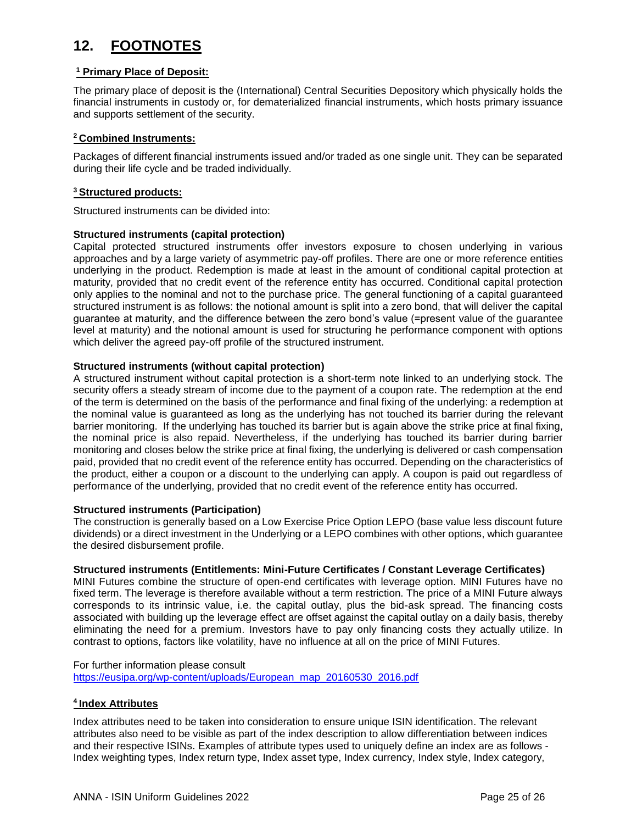### <span id="page-24-0"></span>**12. FOOTNOTES**

### **<sup>1</sup> Primary Place of Deposit:**

The primary place of deposit is the (International) Central Securities Depository which physically holds the financial instruments in custody or, for dematerialized financial instruments, which hosts primary issuance and supports settlement of the security.

### **<sup>2</sup> Combined Instruments:**

Packages of different financial instruments issued and/or traded as one single unit. They can be separated during their life cycle and be traded individually.

### **<sup>3</sup> Structured products:**

Structured instruments can be divided into:

### **Structured instruments (capital protection)**

Capital protected structured instruments offer investors exposure to chosen underlying in various approaches and by a large variety of asymmetric pay-off profiles. There are one or more reference entities underlying in the product. Redemption is made at least in the amount of conditional capital protection at maturity, provided that no credit event of the reference entity has occurred. Conditional capital protection only applies to the nominal and not to the purchase price. The general functioning of a capital guaranteed structured instrument is as follows: the notional amount is split into a zero bond, that will deliver the capital guarantee at maturity, and the difference between the zero bond's value (=present value of the guarantee level at maturity) and the notional amount is used for structuring he performance component with options which deliver the agreed pay-off profile of the structured instrument.

### **Structured instruments (without capital protection)**

A structured instrument without capital protection is a short-term note linked to an underlying stock. The security offers a steady stream of income due to the payment of a coupon rate. The redemption at the end of the term is determined on the basis of the performance and final fixing of the underlying: a redemption at the nominal value is guaranteed as long as the underlying has not touched its barrier during the relevant barrier monitoring. If the underlying has touched its barrier but is again above the strike price at final fixing, the nominal price is also repaid. Nevertheless, if the underlying has touched its barrier during barrier monitoring and closes below the strike price at final fixing, the underlying is delivered or cash compensation paid, provided that no credit event of the reference entity has occurred. Depending on the characteristics of the product, either a coupon or a discount to the underlying can apply. A coupon is paid out regardless of performance of the underlying, provided that no credit event of the reference entity has occurred.

#### **Structured instruments (Participation)**

The construction is generally based on a Low Exercise Price Option LEPO (base value less discount future dividends) or a direct investment in the Underlying or a LEPO combines with other options, which guarantee the desired disbursement profile.

#### **Structured instruments (Entitlements: Mini-Future Certificates / Constant Leverage Certificates)**

MINI Futures combine the structure of open-end certificates with leverage option. MINI Futures have no fixed term. The leverage is therefore available without a term restriction. The price of a MINI Future always corresponds to its intrinsic value, i.e. the capital outlay, plus the bid-ask spread. The financing costs associated with building up the leverage effect are offset against the capital outlay on a daily basis, thereby eliminating the need for a premium. Investors have to pay only financing costs they actually utilize. In contrast to options, factors like volatility, have no influence at all on the price of MINI Futures.

For further information please consult [https://eusipa.org/wp-content/uploads/European\\_map\\_20160530\\_2016.pdf](https://eusipa.org/wp-content/uploads/European_map_20160530_2016.pdf)

### **<sup>4</sup>Index Attributes**

Index attributes need to be taken into consideration to ensure unique ISIN identification. The relevant attributes also need to be visible as part of the index description to allow differentiation between indices and their respective ISINs. Examples of attribute types used to uniquely define an index are as follows - Index weighting types, Index return type, Index asset type, Index currency, Index style, Index category,